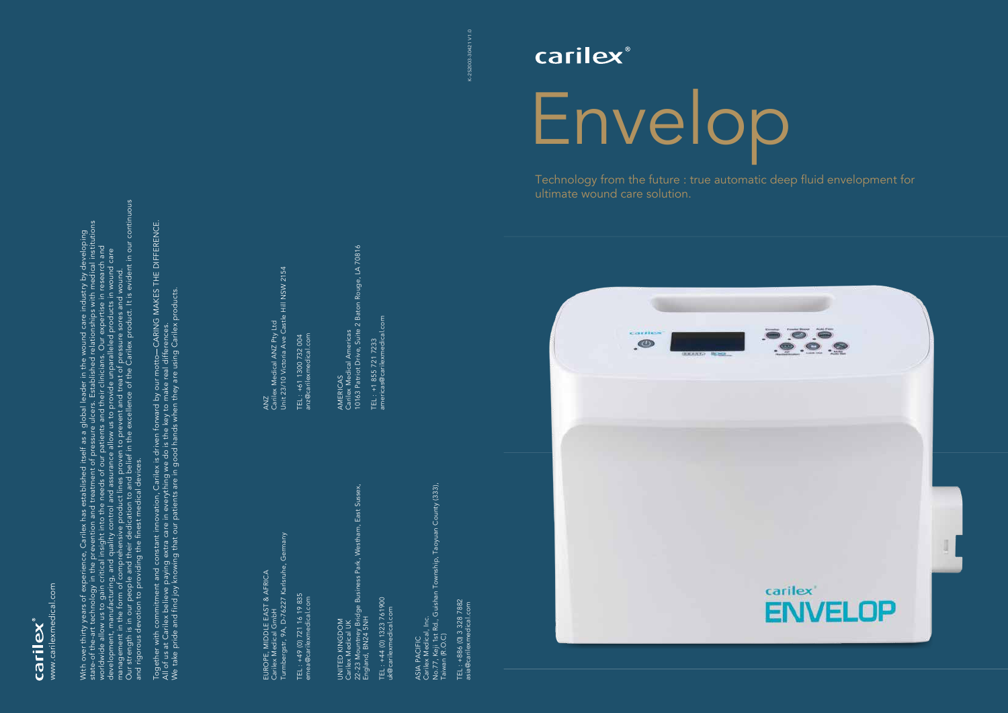K-2S2003-30421 V1.0

<-2S2003-30421 V1.0



Technology from the future : true automatic deep fluid envelopment for ultimate wound care solution.



EUROPE, MIDDLE EAST & AFRICA<br>Carilex Medical GmbH<br>Turmbergstr, 9A, D-76227 Karlsruhe, Germany Turmbergstr, 9A, D-76227 Karlsruhe, Germany EUROPE, MIDDLE EAST & AFRICA Carilex Medical GmbH

TEL : +49 (0) 721 16 19 835<br>amea@carilexmedical.com TEL : +49 (0) 721 16 19 835 emea@carilexmedical.com UNITED KINGDOM<br>Carilex Medical UK<br>22-23 Mountney Bridge Business Park, Westham, East Sussex,<br>England, BN24 5NH 22-23 Mountney Bridge Business Park, Westham, East Sussex, England, BN24 5NH UNITED KINGDOM Carilex Medical UK

TEL : +44 (0) 1323 761900<br>Jk@carilexmedical.com TEL : +44 (0) 1323 761900 uk@carilexmedical.com

TEL : +886 (0) 3 328 7882<br>asia@carilexmedical.com TEL : +886 (0) 3 328 7882 asia@carilexmedical.com

ANZ<br>Carilex Medical ANZ Pty Ltd<br>Unit 23/10 Victoria Ave Castle Hill NSW 2154 Carilex Medical ANZ Pty Ltd Unit 23/10 Victoria Ave Castle Hill NSW 2154

TEL : +61 1300 732 004<br>anz@carilexmedical.com anz@carilexmedical.com TEL : +61 1300 732 004

AMERICAS<br>Carilex Medical Americas<br>10163 Patriot Drive, Suite 2 Baton Rouge, LA 70816 10163 Patriot Drive, Suite 2 Baton Rouge, LA 70816 Carilex Medical Americas AMERICAS

TEL : +1 855 721 7233<br>americas@carilexmedical.com americas@carilexmedical.com TEL : +1 855 721 7233

> No.77, Keji 1st Rd., Guishan Township, Taoyuan County (333), Township, Taoyuan County (333), ASIA PACIFIC<br>Carilex Medical, Inc.<br>No.77, Keji 1st Rd., Guishan To<br>Taiwan (R.O.C) Carilex Medical, Inc. Taiwan (R.O.C) ASIA PACIFIC

With over thirty years of experience, Carilex has established itself as a global leader in the wound care industry by developing<br>state-of the-art technology in the prevention and treatment of pressure ulcers. Established r Our strength is in our people and their dedication to and belief in the excellence of the Carilex product. It is evident in our continuous state-of the-art technology in the prevention and treatment of pressure ulcers. Established relationships with medical institutions With over thirty years of experience, Carilex has established itself as a global leader in the wound care industry by developing worldwide allow us to gain critical insight into the needs of our patients and their clinicians. Our expertise in research and development, manufacturing, and quality control and assurance allow us to provide unparalleled products in wound care management in the form of comprehensive product lines proven to prevent and treat of pressure sores and wound. and rigorous devotion to providing the finest medical devices.



Together with commitment and constant innovation, Carilex is driven forward by our motto CARING MAKES THE DIFFERENCE. Together with commitment and constant innovation, Carilex is driven forward by our motto—CARING MAKES THE DIFFERENCE.<br>All of us at Carilex believe paying extra care in everything we do is the key to make real differences.<br> We take pride and find joy knowing that our patients are in good hands when they are using Carilex products. All of us at Carilex believe paying extra care in everything we do is the key to make real differences.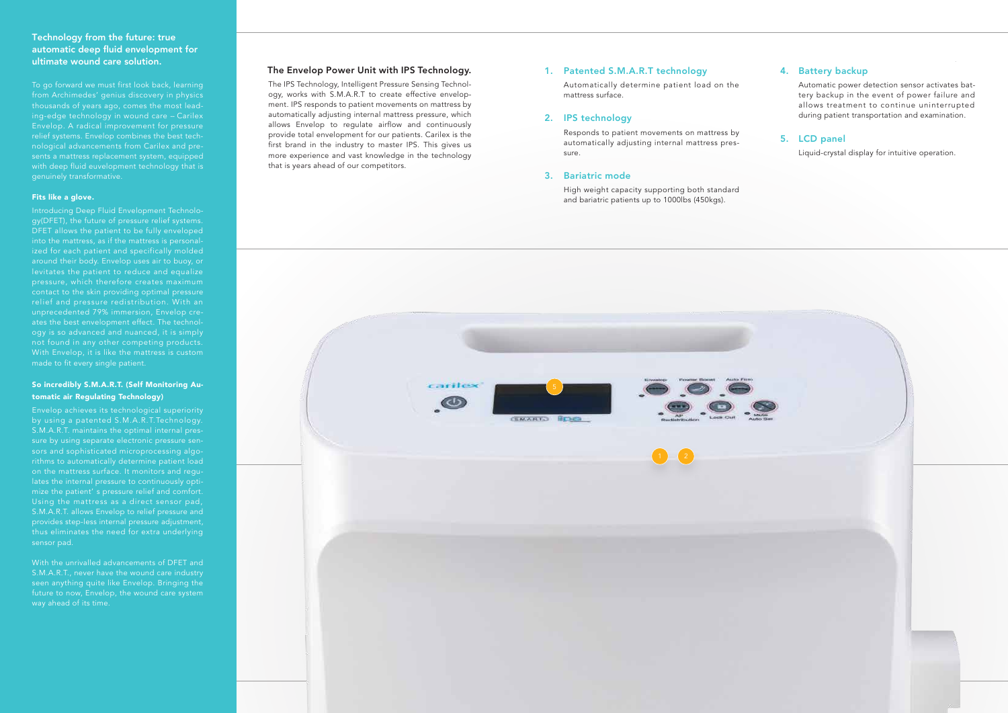#### The Envelop Power Unit with IPS Technology.

The IPS Technology, Intelligent Pressure Sensing Technology, works with S.M.A.R.T to create effective envelopment. IPS responds to patient movements on mattress by automatically adjusting internal mattress pressure, which allows Envelop to regulate airflow and continuously provide total envelopment for our patients. Carilex is the first brand in the industry to master IPS. This gives us more experience and vast knowledge in the technology that is years ahead of our competitors.

# Technology from the future: true automatic deep fluid envelopment for ultimate wound care solution.

from Archimedes' genius discovery in physics thousands of years ago, comes the most leading-edge technology in wound care -- Carilex Envelop. A radical improvement for pressure relief systems. Envelop combines the best technological advancements from Carilex and presents a mattress replacement system, equipped with deep fluid euvelopment technology that is genuinely transformative.

#### Fits like a glove.

Introducing Deep Fluid Envelopment Technology(DFET), the future of pressure relief systems. DFET allows the patient to be fully enveloped ized for each patient and specifically molded around their body. Envelop uses air to buoy, or relief and pressure redistribution. With an unprecedented 79% immersion, Envelop creates the best envelopment effect. The technology is so advanced and nuanced, it is simply not found in any other competing products. With Envelop, it is like the mattress is custom made to fit every single patient.

#### So incredibly S.M.A.R.T. (Self Monitoring Automatic air Regulating Technology)

Envelop achieves its technological superiority by using a patented S.M.A.R.T.Technology. S.M.A.R.T. maintains the optimal internal pressure by using separate electronic pressure sensors and sophisticated microprocessing algoon the mattress surface. It monitors and regulates the internal pressure to continuously optimize the patient' s pressure relief and comfort. Using the mattress as a direct sensor pad, S.M.A.R.T. allows Envelop to relief pressure and provides step-less internal pressure adjustment, sensor pad.

With the unrivalled advancements of DFET and S.M.A.R.T., never have the wound care industry seen anything quite like Envelop. Bringing the future to now, Envelop, the wound care system Automatic power detection sensor activates battery backup in the event of power failure and allows treatment to continue uninterrupted during patient transportation and examination.

## 5. LCD panel

Liquid-crystal display for intuitive operation.

Automatically determine patient load on the mattress surface.

#### 2. IPS technology

## 3. Bariatric mode

Responds to patient movements on mattress by automatically adjusting internal mattress pressure.

## Patented S.M.A.R.T technology 1.

High weight capacity supporting both standard and bariatric patients up to 1000lbs (450kgs).



## 4. Battery backup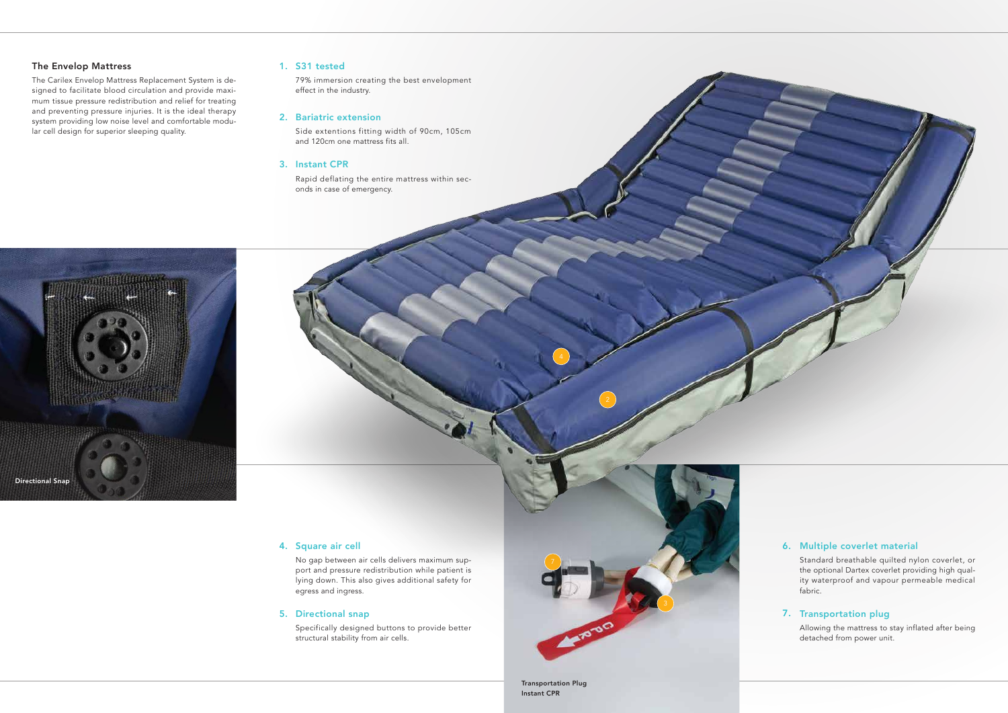Standard breathable quilted nylon coverlet, or the optional Dartex coverlet providing high quality waterproof and vapour permeable medical fabric.

## 7. Transportation plug

## Multiple coverlet material 6.

Allowing the mattress to stay inflated after being detached from power unit.

No gap between air cells delivers maximum support and pressure redistribution while patient is lying down. This also gives additional safety for egress and ingress.

#### 5. Directional snap

Specifically designed buttons to provide better structural stability from air cells.



#### 4. Square air cell

 Transportation Plug Instant CPR



### The Envelop Mattress

The Carilex Envelop Mattress Replacement System is designed to facilitate blood circulation and provide maximum tissue pressure redistribution and relief for treating and preventing pressure injuries. It is the ideal therapy system providing low noise level and comfortable modular cell design for superior sleeping quality.

## 1. S31 tested

79% immersion creating the best envelopment effect in the industry.

#### 2. Bariatric extension

Side extentions fitting width of 90cm, 105cm and 120cm one mattress fits all.

#### 3. Instant CPR

Rapid deflating the entire mattress within seconds in case of emergency.